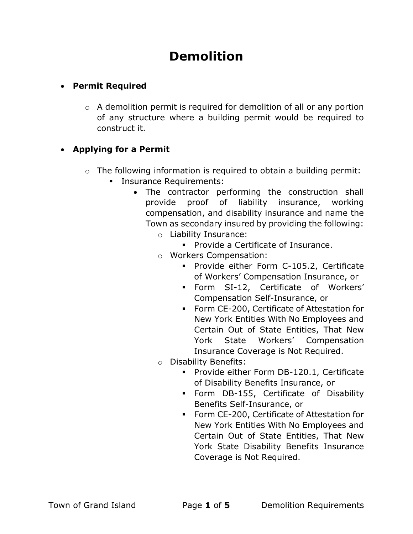# Demolition

# Permit Required

 $\circ$  A demolition permit is required for demolition of all or any portion of any structure where a building permit would be required to construct it.

# • Applying for a Permit

- $\circ$  The following information is required to obtain a building permit:
	- **Insurance Requirements:** 
		- The contractor performing the construction shall provide proof of liability insurance, working compensation, and disability insurance and name the Town as secondary insured by providing the following:
			- o Liability Insurance:
				- **Provide a Certificate of Insurance.**
			- o Workers Compensation:
				- **Provide either Form C-105.2, Certificate** of Workers' Compensation Insurance, or
				- Form SI-12, Certificate of Workers' Compensation Self-Insurance, or
				- Form CE-200, Certificate of Attestation for New York Entities With No Employees and Certain Out of State Entities, That New York State Workers' Compensation Insurance Coverage is Not Required.
			- o Disability Benefits:
				- **Provide either Form DB-120.1, Certificate** of Disability Benefits Insurance, or
				- Form DB-155, Certificate of Disability Benefits Self-Insurance, or
				- **Form CE-200, Certificate of Attestation for** New York Entities With No Employees and Certain Out of State Entities, That New York State Disability Benefits Insurance Coverage is Not Required.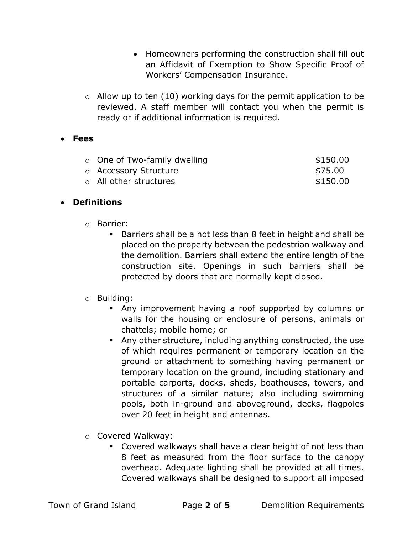- Homeowners performing the construction shall fill out an Affidavit of Exemption to Show Specific Proof of Workers' Compensation Insurance.
- $\circ$  Allow up to ten (10) working days for the permit application to be reviewed. A staff member will contact you when the permit is ready or if additional information is required.

## Fees

| $\circ$ One of Two-family dwelling | \$150.00 |
|------------------------------------|----------|
| ○ Accessory Structure              | \$75.00  |
| ○ All other structures             | \$150.00 |

#### Definitions

- o Barrier:
	- Barriers shall be a not less than 8 feet in height and shall be placed on the property between the pedestrian walkway and the demolition. Barriers shall extend the entire length of the construction site. Openings in such barriers shall be protected by doors that are normally kept closed.

## o Building:

- Any improvement having a roof supported by columns or walls for the housing or enclosure of persons, animals or chattels; mobile home; or
- Any other structure, including anything constructed, the use of which requires permanent or temporary location on the ground or attachment to something having permanent or temporary location on the ground, including stationary and portable carports, docks, sheds, boathouses, towers, and structures of a similar nature; also including swimming pools, both in-ground and aboveground, decks, flagpoles over 20 feet in height and antennas.
- o Covered Walkway:
	- Covered walkways shall have a clear height of not less than 8 feet as measured from the floor surface to the canopy overhead. Adequate lighting shall be provided at all times. Covered walkways shall be designed to support all imposed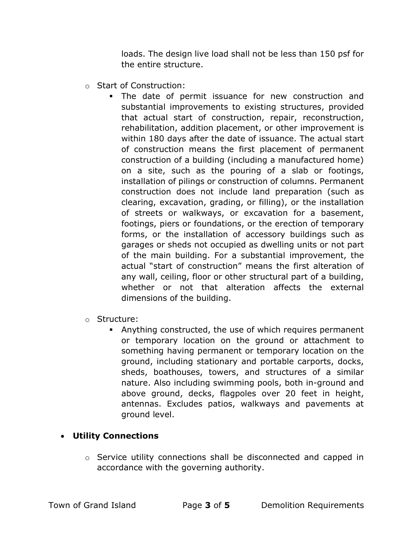loads. The design live load shall not be less than 150 psf for the entire structure.

- o Start of Construction:
	- The date of permit issuance for new construction and substantial improvements to existing structures, provided that actual start of construction, repair, reconstruction, rehabilitation, addition placement, or other improvement is within 180 days after the date of issuance. The actual start of construction means the first placement of permanent construction of a building (including a manufactured home) on a site, such as the pouring of a slab or footings, installation of pilings or construction of columns. Permanent construction does not include land preparation (such as clearing, excavation, grading, or filling), or the installation of streets or walkways, or excavation for a basement, footings, piers or foundations, or the erection of temporary forms, or the installation of accessory buildings such as garages or sheds not occupied as dwelling units or not part of the main building. For a substantial improvement, the actual "start of construction" means the first alteration of any wall, ceiling, floor or other structural part of a building, whether or not that alteration affects the external dimensions of the building.
- o Structure:
	- Anything constructed, the use of which requires permanent or temporary location on the ground or attachment to something having permanent or temporary location on the ground, including stationary and portable carports, docks, sheds, boathouses, towers, and structures of a similar nature. Also including swimming pools, both in-ground and above ground, decks, flagpoles over 20 feet in height, antennas. Excludes patios, walkways and pavements at ground level.

#### Utility Connections

o Service utility connections shall be disconnected and capped in accordance with the governing authority.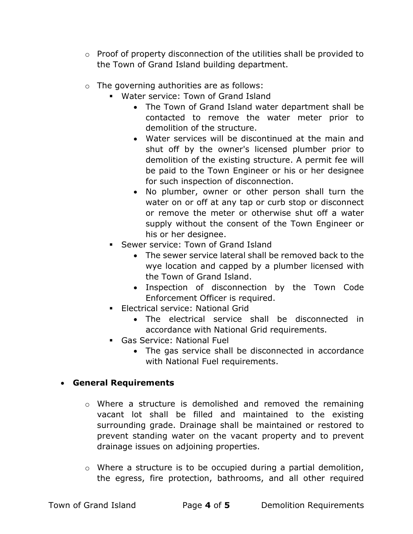- o Proof of property disconnection of the utilities shall be provided to the Town of Grand Island building department.
- o The governing authorities are as follows:
	- Water service: Town of Grand Island
		- The Town of Grand Island water department shall be contacted to remove the water meter prior to demolition of the structure.
		- Water services will be discontinued at the main and shut off by the owner's licensed plumber prior to demolition of the existing structure. A permit fee will be paid to the Town Engineer or his or her designee for such inspection of disconnection.
		- No plumber, owner or other person shall turn the water on or off at any tap or curb stop or disconnect or remove the meter or otherwise shut off a water supply without the consent of the Town Engineer or his or her designee.
	- **Sewer service: Town of Grand Island** 
		- The sewer service lateral shall be removed back to the wye location and capped by a plumber licensed with the Town of Grand Island.
		- Inspection of disconnection by the Town Code Enforcement Officer is required.
	- **Electrical service: National Grid** 
		- The electrical service shall be disconnected in accordance with National Grid requirements.
	- Gas Service: National Fuel
		- The gas service shall be disconnected in accordance with National Fuel requirements.

## General Requirements

- o Where a structure is demolished and removed the remaining vacant lot shall be filled and maintained to the existing surrounding grade. Drainage shall be maintained or restored to prevent standing water on the vacant property and to prevent drainage issues on adjoining properties.
- o Where a structure is to be occupied during a partial demolition, the egress, fire protection, bathrooms, and all other required